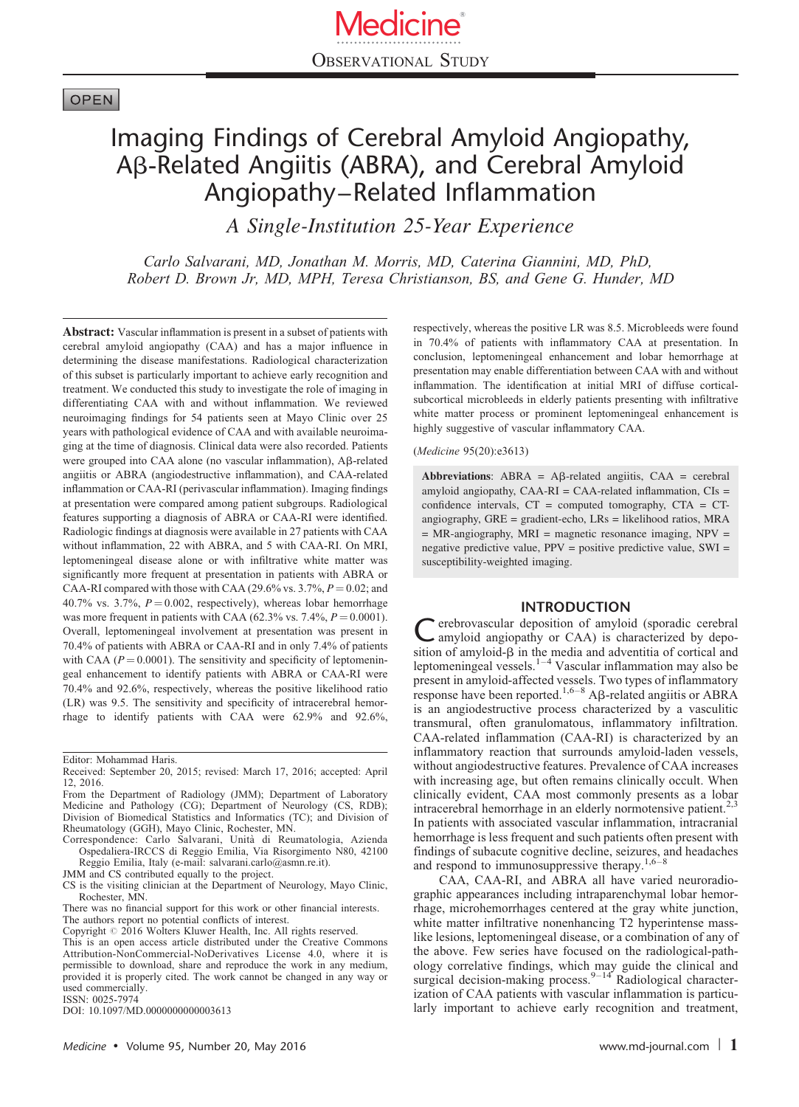# **OPEN**

# Imaging Findings of Cerebral Amyloid Angiopathy, Ab-Related Angiitis (ABRA), and Cerebral Amyloid Angiopathy–Related Inflammation

A Single-Institution 25-Year Experience

Carlo Salvarani, MD, Jonathan M. Morris, MD, Caterina Giannini, MD, PhD, Robert D. Brown Jr, MD, MPH, Teresa Christianson, BS, and Gene G. Hunder, MD

Abstract: Vascular inflammation is present in a subset of patients with cerebral amyloid angiopathy (CAA) and has a major influence in determining the disease manifestations. Radiological characterization of this subset is particularly important to achieve early recognition and treatment. We conducted this study to investigate the role of imaging in differentiating CAA with and without inflammation. We reviewed neuroimaging findings for 54 patients seen at Mayo Clinic over 25 years with pathological evidence of CAA and with available neuroimaging at the time of diagnosis. Clinical data were also recorded. Patients were grouped into CAA alone (no vascular inflammation), Aß-related angiitis or ABRA (angiodestructive inflammation), and CAA-related inflammation or CAA-RI (perivascular inflammation). Imaging findings at presentation were compared among patient subgroups. Radiological features supporting a diagnosis of ABRA or CAA-RI were identified. Radiologic findings at diagnosis were available in 27 patients with CAA without inflammation, 22 with ABRA, and 5 with CAA-RI. On MRI, leptomeningeal disease alone or with infiltrative white matter was significantly more frequent at presentation in patients with ABRA or CAA-RI compared with those with CAA (29.6% vs. 3.7%,  $P = 0.02$ ; and 40.7% vs. 3.7%,  $P = 0.002$ , respectively), whereas lobar hemorrhage was more frequent in patients with CAA (62.3% vs.  $7.4\%, P = 0.0001$ ). Overall, leptomeningeal involvement at presentation was present in 70.4% of patients with ABRA or CAA-RI and in only 7.4% of patients with CAA ( $P = 0.0001$ ). The sensitivity and specificity of leptomeningeal enhancement to identify patients with ABRA or CAA-RI were 70.4% and 92.6%, respectively, whereas the positive likelihood ratio (LR) was 9.5. The sensitivity and specificity of intracerebral hemorrhage to identify patients with CAA were 62.9% and 92.6%,

Editor: Mohammad Haris.

ISSN: 0025-7974

DOI: [10.1097/MD.0000000000003613](http://dx.doi.org/10.1097/MD.0000000000003613)

respectively, whereas the positive LR was 8.5. Microbleeds were found in 70.4% of patients with inflammatory CAA at presentation. In conclusion, leptomeningeal enhancement and lobar hemorrhage at presentation may enable differentiation between CAA with and without inflammation. The identification at initial MRI of diffuse corticalsubcortical microbleeds in elderly patients presenting with infiltrative white matter process or prominent leptomeningeal enhancement is highly suggestive of vascular inflammatory CAA.

#### (Medicine 95(20):e3613)

Abbreviations:  $ABRA = AB$ -related angiitis,  $CAA = cerebral$ amyloid angiopathy,  $CAA-RI = CAA$ -related inflammation,  $CIs =$ confidence intervals,  $CT = computed tomography$ ,  $CT = CT$ angiography, GRE = gradient-echo, LRs = likelihood ratios, MRA  $= MR$ -angiography, MRI = magnetic resonance imaging, NPV = negative predictive value, PPV = positive predictive value, SWI = susceptibility-weighted imaging.

# INTRODUCTION

Cerebrovascular deposition of amyloid (sporadic cerebral amyloid angiopathy or CAA) is characterized by deposition of amyloid- $\beta$  in the media and adventitia of cortical and leptomeningeal vessels.<sup>[1–4](#page-6-0)</sup> Vascular inflammation may also be present in amyloid-affected vessels. Two types of inflammatory<br>response have been reported.<sup>[1,6–8](#page-6-0)</sup> Aβ-related angiitis or ABRA is an angiodestructive process characterized by a vasculitic transmural, often granulomatous, inflammatory infiltration. CAA-related inflammation (CAA-RI) is characterized by an inflammatory reaction that surrounds amyloid-laden vessels, without angiodestructive features. Prevalence of CAA increases with increasing age, but often remains clinically occult. When clinically evident, CAA most commonly presents as a lobar intracerebral hemorrhage in an elderly normotensive patient.<sup>[2,3](#page-6-0)</sup> In patients with associated vascular inflammation, intracranial hemorrhage is less frequent and such patients often present with findings of subacute cognitive decline, seizures, and headaches and respond to immunosuppressive therapy.<sup>1,6–8</sup>

CAA, CAA-RI, and ABRA all have varied neuroradiographic appearances including intraparenchymal lobar hemorrhage, microhemorrhages centered at the gray white junction, white matter infiltrative nonenhancing T2 hyperintense masslike lesions, leptomeningeal disease, or a combination of any of the above. Few series have focused on the radiological-path-ology correlative findings, which may guide the clinical and surgical decision-making process.<sup>[9–14](#page-6-0)</sup> Radiological characterization of CAA patients with vascular inflammation is particularly important to achieve early recognition and treatment,

Received: September 20, 2015; revised: March 17, 2016; accepted: April 12, 2016.

From the Department of Radiology (JMM); Department of Laboratory Medicine and Pathology (CG); Department of Neurology (CS, RDB); Division of Biomedical Statistics and Informatics (TC); and Division of Rheumatology (GGH), Mayo Clinic, Rochester, MN. Correspondence: Carlo Salvarani, Unita` di Reumatologia, Azienda

Ospedaliera-IRCCS di Reggio Emilia, Via Risorgimento N80, 42100 Reggio Emilia, Italy (e-mail: salvarani.carlo@asmn.re.it).

JMM and CS contributed equally to the project.

CS is the visiting clinician at the Department of Neurology, Mayo Clinic, Rochester, MN.

There was no financial support for this work or other financial interests. The authors report no potential conflicts of interest.

Copyright  $@$  2016 Wolters Kluwer Health, Inc. All rights reserved.

This is an open access article distributed under the Creative Commons Attribution-NonCommercial-NoDerivatives License 4.0, where it is permissible to download, share and reproduce the work in any medium, provided it is properly cited. The work cannot be changed in any way or used commercially.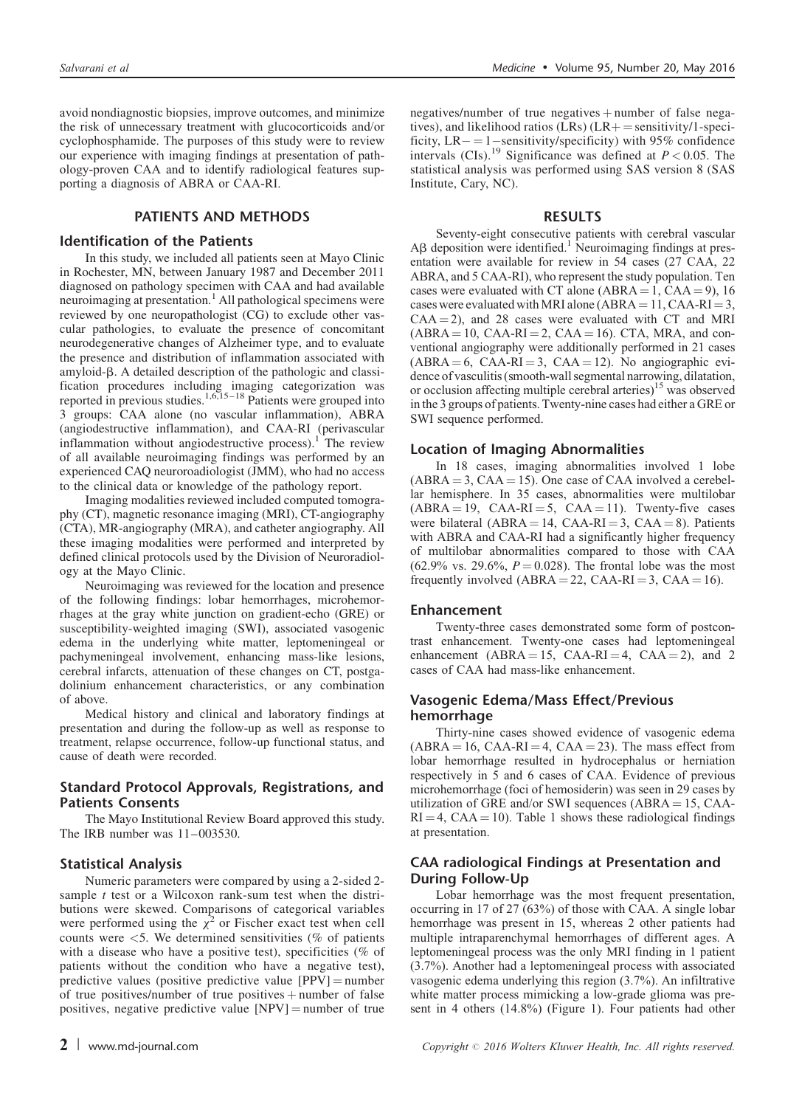avoid nondiagnostic biopsies, improve outcomes, and minimize the risk of unnecessary treatment with glucocorticoids and/or cyclophosphamide. The purposes of this study were to review our experience with imaging findings at presentation of pathology-proven CAA and to identify radiological features supporting a diagnosis of ABRA or CAA-RI.

# PATIENTS AND METHODS

## Identification of the Patients

In this study, we included all patients seen at Mayo Clinic in Rochester, MN, between January 1987 and December 2011 diagnosed on pathology specimen with CAA and had available neuroimaging at presentation.<sup>[1](#page-6-0)</sup> All pathological specimens were reviewed by one neuropathologist (CG) to exclude other vascular pathologies, to evaluate the presence of concomitant neurodegenerative changes of Alzheimer type, and to evaluate the presence and distribution of inflammation associated with amyloid- $\beta$ . A detailed description of the pathologic and classification procedures including imaging categorization was reported in previous studies.<sup>1,6,15–18</sup> Patients were grouped into 3 groups: CAA alone (no vascular inflammation), ABRA (angiodestructive inflammation), and CAA-RI (perivascular inflammation without angiodestructive process).<sup>[1](#page-6-0)</sup> The review of all available neuroimaging findings was performed by an experienced CAQ neuroroadiologist (JMM), who had no access to the clinical data or knowledge of the pathology report.

Imaging modalities reviewed included computed tomography (CT), magnetic resonance imaging (MRI), CT-angiography (CTA), MR-angiography (MRA), and catheter angiography. All these imaging modalities were performed and interpreted by defined clinical protocols used by the Division of Neuroradiology at the Mayo Clinic.

Neuroimaging was reviewed for the location and presence of the following findings: lobar hemorrhages, microhemorrhages at the gray white junction on gradient-echo (GRE) or susceptibility-weighted imaging (SWI), associated vasogenic edema in the underlying white matter, leptomeningeal or pachymeningeal involvement, enhancing mass-like lesions, cerebral infarcts, attenuation of these changes on CT, postgadolinium enhancement characteristics, or any combination of above.

Medical history and clinical and laboratory findings at presentation and during the follow-up as well as response to treatment, relapse occurrence, follow-up functional status, and cause of death were recorded.

## Standard Protocol Approvals, Registrations, and Patients Consents

The Mayo Institutional Review Board approved this study. The IRB number was 11–003530.

# Statistical Analysis

Numeric parameters were compared by using a 2-sided 2 sample  $t$  test or a Wilcoxon rank-sum test when the distributions were skewed. Comparisons of categorical variables were performed using the  $\chi^2$  or Fischer exact test when cell counts were  $\leq$ 5. We determined sensitivities (% of patients with a disease who have a positive test), specificities (% of patients without the condition who have a negative test), predictive values (positive predictive value  $[PPV] =$  number of true positives/number of true positives  $+$  number of false positives, negative predictive value  $[NPV] =$  number of true negatives/number of true negatives  $+$  number of false negatives), and likelihood ratios (LRs)  $(LR+)$  = sensitivity/1-specificity,  $LR - = 1$  -sensitivity/specificity) with 95% confidence intervals  $(CIs).<sup>19</sup>$  $(CIs).<sup>19</sup>$  $(CIs).<sup>19</sup>$  Significance was defined at  $P < 0.05$ . The statistical analysis was performed using SAS version 8 (SAS Institute, Cary, NC).

# RESULTS

Seventy-eight consecutive patients with cerebral vascular  $\mathsf{AB}$  deposition were identified.<sup>1</sup> Neuroimaging findings at presentation were available for review in 54 cases (27 CAA, 22 ABRA, and 5 CAA-RI), who represent the study population. Ten cases were evaluated with CT alone (ABRA = 1, CAA = 9), 16 cases were evaluated with MRI alone ( $ABRA = 11$ ,  $CAA-RI = 3$ ,  $CAA = 2$ ), and 28 cases were evaluated with CT and MRI  $(ABRA = 10, CAA-RI = 2, CAA = 16)$ . CTA, MRA, and conventional angiography were additionally performed in 21 cases  $(ABRA = 6, CAA-RI = 3, CAA = 12)$ . No angiographic evidence of vasculitis (smooth-wall segmental narrowing, dilatation, or occlusion affecting multiple cerebral arteries)<sup>15</sup> was observed in the 3 groups of patients. Twenty-nine cases had either a GRE or SWI sequence performed.

# Location of Imaging Abnormalities

In 18 cases, imaging abnormalities involved 1 lobe  $(ABRA = 3, CAA = 15)$ . One case of CAA involved a cerebellar hemisphere. In 35 cases, abnormalities were multilobar  $(ABRA = 19, CAARI = 5, CAA = 11)$ . Twenty-five cases were bilateral (ABRA = 14, CAA-RI = 3, CAA = 8). Patients with ABRA and CAA-RI had a significantly higher frequency of multilobar abnormalities compared to those with CAA  $(62.9\% \text{ vs. } 29.6\%, P = 0.028)$ . The frontal lobe was the most frequently involved (ABRA = 22, CAA-RI = 3, CAA = 16).

## Enhancement

Twenty-three cases demonstrated some form of postcontrast enhancement. Twenty-one cases had leptomeningeal enhancement (ABRA = 15, CAA-RI = 4, CAA = 2), and 2 cases of CAA had mass-like enhancement.

# Vasogenic Edema/Mass Effect/Previous hemorrhage

Thirty-nine cases showed evidence of vasogenic edema  $(ABRA = 16, CAA-RI = 4, CAA = 23)$ . The mass effect from lobar hemorrhage resulted in hydrocephalus or herniation respectively in 5 and 6 cases of CAA. Evidence of previous microhemorrhage (foci of hemosiderin) was seen in 29 cases by utilization of GRE and/or SWI sequences  $(ABRA = 15, CAA RI = 4$ ,  $CAA = 10$ ). [Table 1](#page-2-0) shows these radiological findings at presentation.

# CAA radiological Findings at Presentation and During Follow-Up

Lobar hemorrhage was the most frequent presentation, occurring in 17 of 27 (63%) of those with CAA. A single lobar hemorrhage was present in 15, whereas 2 other patients had multiple intraparenchymal hemorrhages of different ages. A leptomeningeal process was the only MRI finding in 1 patient (3.7%). Another had a leptomeningeal process with associated vasogenic edema underlying this region (3.7%). An infiltrative white matter process mimicking a low-grade glioma was present in 4 others (14.8%) ([Figure 1](#page-2-0)). Four patients had other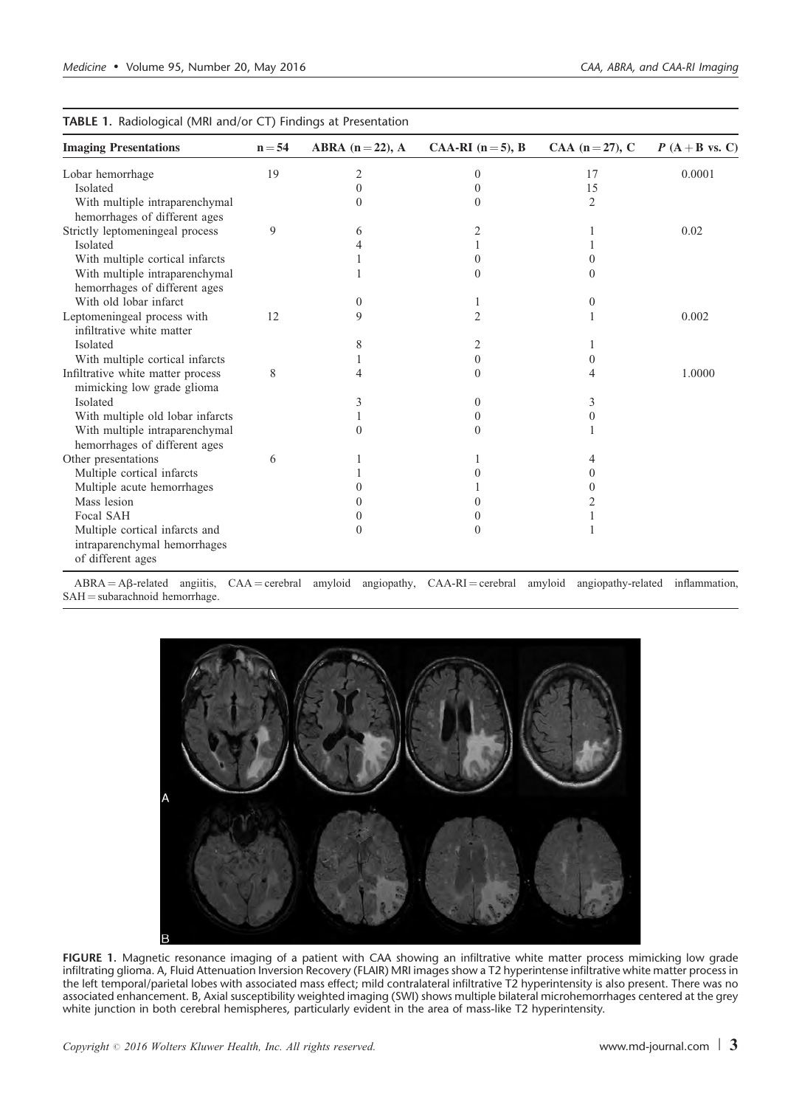| <b>Imaging Presentations</b>                                                        | $n = 54$ | ABRA $(n=22)$ , A | CAA-RI $(n=5)$ , B | CAA $(n=27)$ , C | $P(A + B \text{ vs. C})$ |
|-------------------------------------------------------------------------------------|----------|-------------------|--------------------|------------------|--------------------------|
| Lobar hemorrhage                                                                    | 19       | 2                 | $\mathbf{0}$       | 17               | 0.0001                   |
| Isolated                                                                            |          | 0                 | 0                  | 15               |                          |
| With multiple intraparenchymal<br>hemorrhages of different ages                     |          | 0                 | 0                  | 2                |                          |
| Strictly leptomeningeal process                                                     | 9        | 6                 | 2                  |                  | 0.02                     |
| Isolated                                                                            |          |                   |                    |                  |                          |
| With multiple cortical infarcts                                                     |          |                   | 0                  | $\mathbf{0}$     |                          |
| With multiple intraparenchymal<br>hemorrhages of different ages                     |          |                   | 0                  | 0                |                          |
| With old lobar infarct                                                              |          | $\left($          |                    | $\theta$         |                          |
| Leptomeningeal process with<br>infiltrative white matter                            | 12       | 9                 | $\overline{2}$     |                  | 0.002                    |
| Isolated                                                                            |          | 8                 | 2                  |                  |                          |
| With multiple cortical infarcts                                                     |          |                   | $\mathbf{0}$       | $\theta$         |                          |
| Infiltrative white matter process<br>mimicking low grade glioma                     | 8        |                   | $\Omega$           |                  | 1.0000                   |
| Isolated                                                                            |          | 3                 | 0                  | 3                |                          |
| With multiple old lobar infarcts                                                    |          |                   | 0                  | 0                |                          |
| With multiple intraparenchymal<br>hemorrhages of different ages                     |          | 0                 | 0                  |                  |                          |
| Other presentations                                                                 | 6        |                   |                    | 4                |                          |
| Multiple cortical infarcts                                                          |          |                   |                    | $\theta$         |                          |
| Multiple acute hemorrhages                                                          |          |                   |                    | 0                |                          |
| Mass lesion                                                                         |          | $\Omega$          | 0                  | 2                |                          |
| Focal SAH                                                                           |          | $\Omega$          | 0                  |                  |                          |
| Multiple cortical infarcts and<br>intraparenchymal hemorrhages<br>of different ages |          | 0                 | $\Omega$           |                  |                          |

# <span id="page-2-0"></span>TABLE 1. Radiological (MRI and/or CT) Findings at Presentation

 $ABRA = A\beta$ -related angiitis,  $CAA =$  cerebral amyloid angiopathy,  $CAA - RI =$  cerebral amyloid angiopathy-related inflammation,  $SAH = subarachnoid$  hemorrhage.



FIGURE 1. Magnetic resonance imaging of a patient with CAA showing an infiltrative white matter process mimicking low grade infiltrating glioma. A, Fluid Attenuation Inversion Recovery (FLAIR) MRI images show a T2 hyperintense infiltrative white matter process in the left temporal/parietal lobes with associated mass effect; mild contralateral infiltrative T2 hyperintensity is also present. There was no associated enhancement. B, Axial susceptibility weighted imaging (SWI) shows multiple bilateral microhemorrhages centered at the grey white junction in both cerebral hemispheres, particularly evident in the area of mass-like T2 hyperintensity.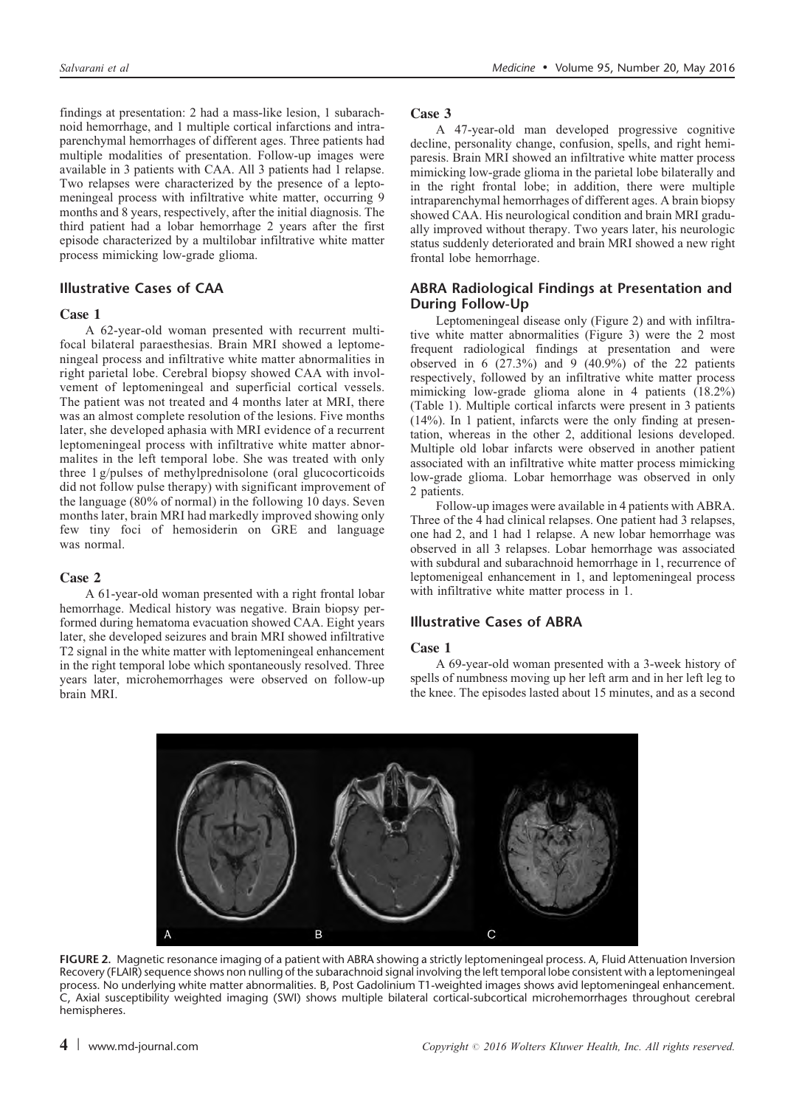findings at presentation: 2 had a mass-like lesion, 1 subarachnoid hemorrhage, and 1 multiple cortical infarctions and intraparenchymal hemorrhages of different ages. Three patients had multiple modalities of presentation. Follow-up images were available in 3 patients with CAA. All 3 patients had 1 relapse. Two relapses were characterized by the presence of a leptomeningeal process with infiltrative white matter, occurring 9 months and 8 years, respectively, after the initial diagnosis. The third patient had a lobar hemorrhage 2 years after the first episode characterized by a multilobar infiltrative white matter process mimicking low-grade glioma.

# Illustrative Cases of CAA

#### Case 1

A 62-year-old woman presented with recurrent multifocal bilateral paraesthesias. Brain MRI showed a leptomeningeal process and infiltrative white matter abnormalities in right parietal lobe. Cerebral biopsy showed CAA with involvement of leptomeningeal and superficial cortical vessels. The patient was not treated and 4 months later at MRI, there was an almost complete resolution of the lesions. Five months later, she developed aphasia with MRI evidence of a recurrent leptomeningeal process with infiltrative white matter abnormalites in the left temporal lobe. She was treated with only three 1 g/pulses of methylprednisolone (oral glucocorticoids did not follow pulse therapy) with significant improvement of the language (80% of normal) in the following 10 days. Seven months later, brain MRI had markedly improved showing only few tiny foci of hemosiderin on GRE and language was normal.

## Case 2

A 61-year-old woman presented with a right frontal lobar hemorrhage. Medical history was negative. Brain biopsy performed during hematoma evacuation showed CAA. Eight years later, she developed seizures and brain MRI showed infiltrative T2 signal in the white matter with leptomeningeal enhancement in the right temporal lobe which spontaneously resolved. Three years later, microhemorrhages were observed on follow-up brain MRI.

## Case 3

A 47-year-old man developed progressive cognitive decline, personality change, confusion, spells, and right hemiparesis. Brain MRI showed an infiltrative white matter process mimicking low-grade glioma in the parietal lobe bilaterally and in the right frontal lobe; in addition, there were multiple intraparenchymal hemorrhages of different ages. A brain biopsy showed CAA. His neurological condition and brain MRI gradually improved without therapy. Two years later, his neurologic status suddenly deteriorated and brain MRI showed a new right frontal lobe hemorrhage.

# ABRA Radiological Findings at Presentation and During Follow-Up

Leptomeningeal disease only (Figure 2) and with infiltrative white matter abnormalities [\(Figure 3](#page-4-0)) were the 2 most frequent radiological findings at presentation and were observed in 6  $(27.3\%)$  and 9  $(40.9\%)$  of the 22 patients respectively, followed by an infiltrative white matter process mimicking low-grade glioma alone in 4 patients (18.2%) ([Table 1\)](#page-2-0). Multiple cortical infarcts were present in 3 patients (14%). In 1 patient, infarcts were the only finding at presentation, whereas in the other 2, additional lesions developed. Multiple old lobar infarcts were observed in another patient associated with an infiltrative white matter process mimicking low-grade glioma. Lobar hemorrhage was observed in only 2 patients.

Follow-up images were available in 4 patients with ABRA. Three of the 4 had clinical relapses. One patient had 3 relapses, one had 2, and 1 had 1 relapse. A new lobar hemorrhage was observed in all 3 relapses. Lobar hemorrhage was associated with subdural and subarachnoid hemorrhage in 1, recurrence of leptomenigeal enhancement in 1, and leptomeningeal process with infiltrative white matter process in 1.

# Illustrative Cases of ABRA

## Case 1

A 69-year-old woman presented with a 3-week history of spells of numbness moving up her left arm and in her left leg to the knee. The episodes lasted about 15 minutes, and as a second



FIGURE 2. Magnetic resonance imaging of a patient with ABRA showing a strictly leptomeningeal process. A, Fluid Attenuation Inversion Recovery (FLAIR) sequence shows non nulling of the subarachnoid signal involving the left temporal lobe consistent with a leptomeningeal process. No underlying white matter abnormalities. B, Post Gadolinium T1-weighted images shows avid leptomeningeal enhancement. C, Axial susceptibility weighted imaging (SWI) shows multiple bilateral cortical-subcortical microhemorrhages throughout cerebral hemispheres.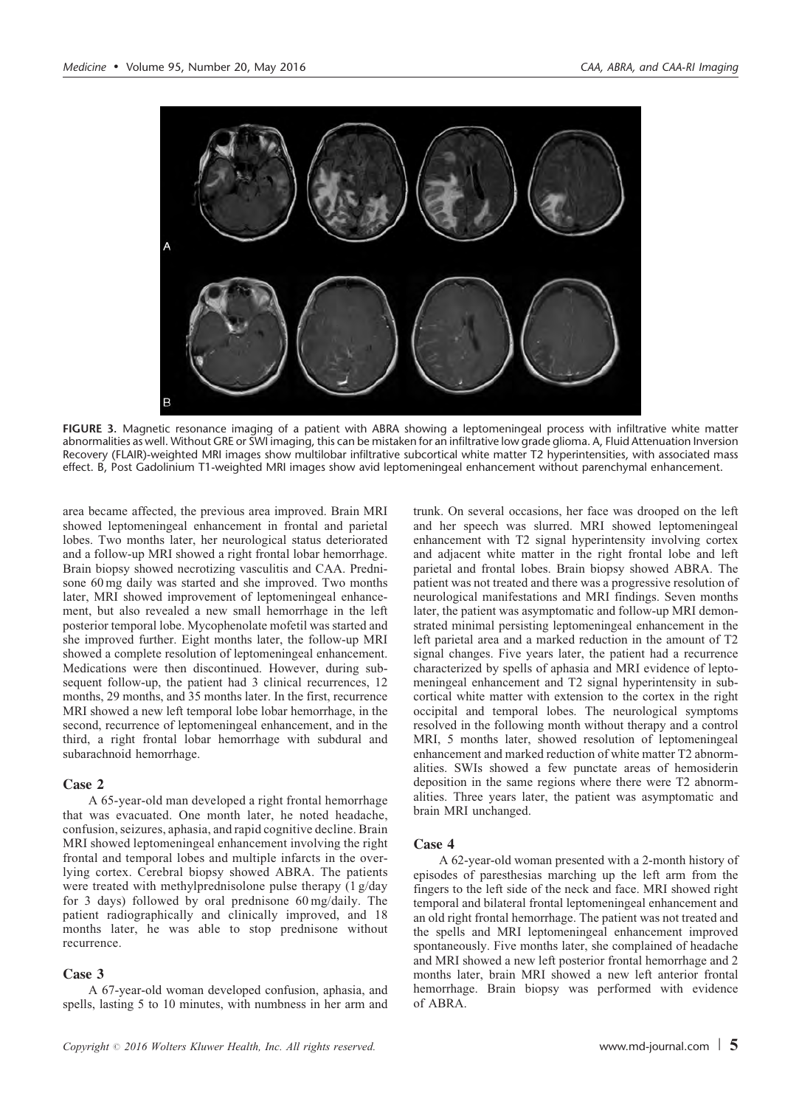<span id="page-4-0"></span>

FIGURE 3. Magnetic resonance imaging of a patient with ABRA showing a leptomeningeal process with infiltrative white matter abnormalities as well. Without GRE or SWI imaging, this can be mistaken for an infiltrative low grade glioma. A, Fluid Attenuation Inversion Recovery (FLAIR)-weighted MRI images show multilobar infiltrative subcortical white matter T2 hyperintensities, with associated mass effect. B, Post Gadolinium T1-weighted MRI images show avid leptomeningeal enhancement without parenchymal enhancement.

area became affected, the previous area improved. Brain MRI showed leptomeningeal enhancement in frontal and parietal lobes. Two months later, her neurological status deteriorated and a follow-up MRI showed a right frontal lobar hemorrhage. Brain biopsy showed necrotizing vasculitis and CAA. Prednisone 60 mg daily was started and she improved. Two months later, MRI showed improvement of leptomeningeal enhancement, but also revealed a new small hemorrhage in the left posterior temporal lobe. Mycophenolate mofetil was started and she improved further. Eight months later, the follow-up MRI showed a complete resolution of leptomeningeal enhancement. Medications were then discontinued. However, during subsequent follow-up, the patient had 3 clinical recurrences, 12 months, 29 months, and 35 months later. In the first, recurrence MRI showed a new left temporal lobe lobar hemorrhage, in the second, recurrence of leptomeningeal enhancement, and in the third, a right frontal lobar hemorrhage with subdural and subarachnoid hemorrhage.

## Case 2

A 65-year-old man developed a right frontal hemorrhage that was evacuated. One month later, he noted headache, confusion, seizures, aphasia, and rapid cognitive decline. Brain MRI showed leptomeningeal enhancement involving the right frontal and temporal lobes and multiple infarcts in the overlying cortex. Cerebral biopsy showed ABRA. The patients were treated with methylprednisolone pulse therapy (1 g/day for 3 days) followed by oral prednisone 60 mg/daily. The patient radiographically and clinically improved, and 18 months later, he was able to stop prednisone without recurrence.

## Case 3

A 67-year-old woman developed confusion, aphasia, and spells, lasting 5 to 10 minutes, with numbness in her arm and trunk. On several occasions, her face was drooped on the left and her speech was slurred. MRI showed leptomeningeal enhancement with T2 signal hyperintensity involving cortex and adjacent white matter in the right frontal lobe and left parietal and frontal lobes. Brain biopsy showed ABRA. The patient was not treated and there was a progressive resolution of neurological manifestations and MRI findings. Seven months later, the patient was asymptomatic and follow-up MRI demonstrated minimal persisting leptomeningeal enhancement in the left parietal area and a marked reduction in the amount of T2 signal changes. Five years later, the patient had a recurrence characterized by spells of aphasia and MRI evidence of leptomeningeal enhancement and T2 signal hyperintensity in subcortical white matter with extension to the cortex in the right occipital and temporal lobes. The neurological symptoms resolved in the following month without therapy and a control MRI, 5 months later, showed resolution of leptomeningeal enhancement and marked reduction of white matter T2 abnormalities. SWIs showed a few punctate areas of hemosiderin deposition in the same regions where there were T2 abnormalities. Three years later, the patient was asymptomatic and brain MRI unchanged.

## Case 4

A 62-year-old woman presented with a 2-month history of episodes of paresthesias marching up the left arm from the fingers to the left side of the neck and face. MRI showed right temporal and bilateral frontal leptomeningeal enhancement and an old right frontal hemorrhage. The patient was not treated and the spells and MRI leptomeningeal enhancement improved spontaneously. Five months later, she complained of headache and MRI showed a new left posterior frontal hemorrhage and 2 months later, brain MRI showed a new left anterior frontal hemorrhage. Brain biopsy was performed with evidence of ABRA.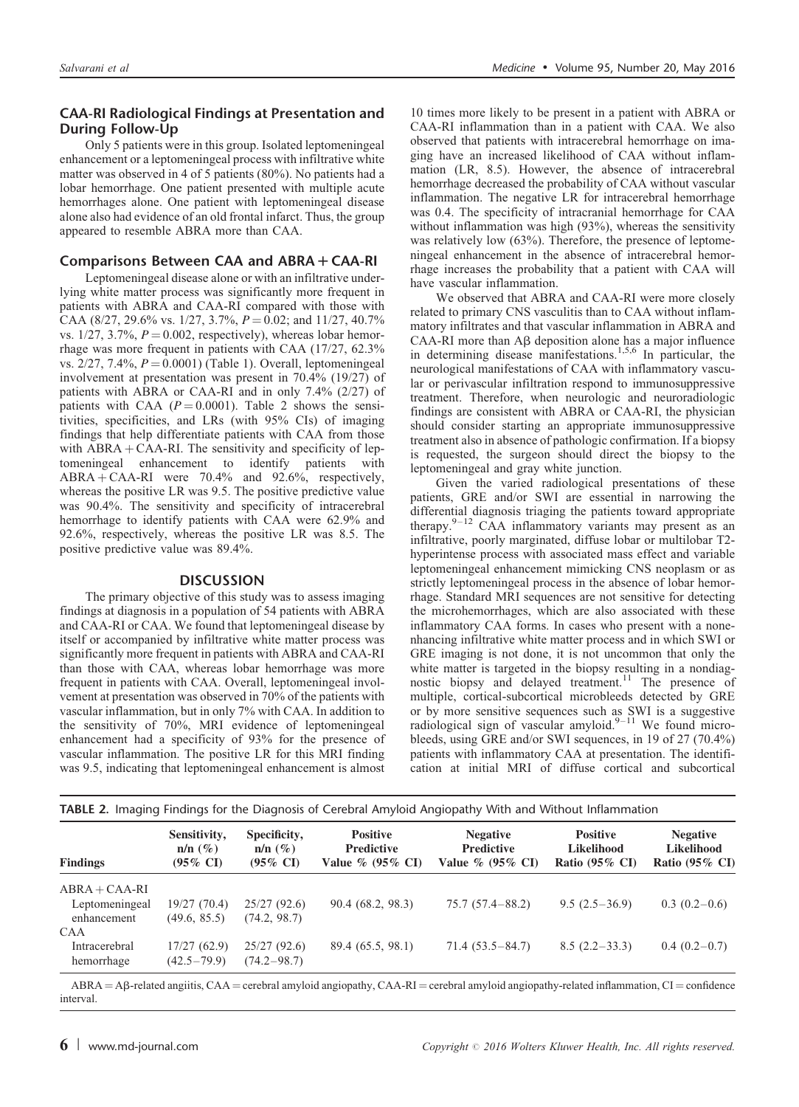# CAA-RI Radiological Findings at Presentation and During Follow-Up

Only 5 patients were in this group. Isolated leptomeningeal enhancement or a leptomeningeal process with infiltrative white matter was observed in 4 of 5 patients (80%). No patients had a lobar hemorrhage. One patient presented with multiple acute hemorrhages alone. One patient with leptomeningeal disease alone also had evidence of an old frontal infarct. Thus, the group appeared to resemble ABRA more than CAA.

# Comparisons Between CAA and  $ABRA + CAA-RI$

Leptomeningeal disease alone or with an infiltrative underlying white matter process was significantly more frequent in patients with ABRA and CAA-RI compared with those with CAA (8/27, 29.6% vs. 1/27, 3.7%,  $P = 0.02$ ; and 11/27, 40.7% vs.  $1/27$ ,  $3.7\%$ ,  $P = 0.002$ , respectively), whereas lobar hemorrhage was more frequent in patients with CAA (17/27, 62.3% vs.  $2/27$ ,  $7.4\%$ ,  $P = 0.0001$ ) ([Table 1](#page-2-0)). Overall, leptomeningeal involvement at presentation was present in 70.4% (19/27) of patients with ABRA or CAA-RI and in only 7.4% (2/27) of patients with CAA ( $P = 0.0001$ ). Table 2 shows the sensitivities, specificities, and LRs (with 95% CIs) of imaging findings that help differentiate patients with CAA from those with  $ABRA + CAA-RI$ . The sensitivity and specificity of leptomeningeal enhancement to identify patients with  $ABRA + CAA-RI$  were 70.4% and 92.6%, respectively, whereas the positive LR was 9.5. The positive predictive value was 90.4%. The sensitivity and specificity of intracerebral hemorrhage to identify patients with CAA were 62.9% and 92.6%, respectively, whereas the positive LR was 8.5. The positive predictive value was 89.4%.

# **DISCUSSION**

The primary objective of this study was to assess imaging findings at diagnosis in a population of 54 patients with ABRA and CAA-RI or CAA. We found that leptomeningeal disease by itself or accompanied by infiltrative white matter process was significantly more frequent in patients with ABRA and CAA-RI than those with CAA, whereas lobar hemorrhage was more frequent in patients with CAA. Overall, leptomeningeal involvement at presentation was observed in 70% of the patients with vascular inflammation, but in only 7% with CAA. In addition to the sensitivity of 70%, MRI evidence of leptomeningeal enhancement had a specificity of 93% for the presence of vascular inflammation. The positive LR for this MRI finding was 9.5, indicating that leptomeningeal enhancement is almost

10 times more likely to be present in a patient with ABRA or CAA-RI inflammation than in a patient with CAA. We also observed that patients with intracerebral hemorrhage on imaging have an increased likelihood of CAA without inflammation (LR, 8.5). However, the absence of intracerebral hemorrhage decreased the probability of CAA without vascular inflammation. The negative LR for intracerebral hemorrhage was 0.4. The specificity of intracranial hemorrhage for CAA without inflammation was high (93%), whereas the sensitivity was relatively low (63%). Therefore, the presence of leptomeningeal enhancement in the absence of intracerebral hemorrhage increases the probability that a patient with CAA will have vascular inflammation.

We observed that ABRA and CAA-RI were more closely related to primary CNS vasculitis than to CAA without inflammatory infiltrates and that vascular inflammation in ABRA and  $CAA-RI$  more than  $A\beta$  deposition alone has a major influence in determining disease manifestations.<sup>[1,5,6](#page-6-0)</sup> In particular, the neurological manifestations of CAA with inflammatory vascular or perivascular infiltration respond to immunosuppressive treatment. Therefore, when neurologic and neuroradiologic findings are consistent with ABRA or CAA-RI, the physician should consider starting an appropriate immunosuppressive treatment also in absence of pathologic confirmation. If a biopsy is requested, the surgeon should direct the biopsy to the leptomeningeal and gray white junction.

Given the varied radiological presentations of these patients, GRE and/or SWI are essential in narrowing the differential diagnosis triaging the patients toward appropriate therapy. $9-12$  CAA inflammatory variants may present as an infiltrative, poorly marginated, diffuse lobar or multilobar T2 hyperintense process with associated mass effect and variable leptomeningeal enhancement mimicking CNS neoplasm or as strictly leptomeningeal process in the absence of lobar hemorrhage. Standard MRI sequences are not sensitive for detecting the microhemorrhages, which are also associated with these inflammatory CAA forms. In cases who present with a nonenhancing infiltrative white matter process and in which SWI or GRE imaging is not done, it is not uncommon that only the white matter is targeted in the biopsy resulting in a nondiagnostic biopsy and delayed treatment.<sup>11</sup> The presence of multiple, cortical-subcortical microbleeds detected by GRE or by more sensitive sequences such as SWI is a suggestive radiological sign of vascular amyloid. $9-11$  We found microbleeds, using GRE and/or SWI sequences, in 19 of 27 (70.4%) patients with inflammatory CAA at presentation. The identification at initial MRI of diffuse cortical and subcortical

| <b>TABLE 2.</b> Imaging Findings for the Diagnosis of Cerebral Amyloid Angiopathy With and Without Inflammation |                                                     |                                                     |                                                                 |                                                                 |                                                            |                                                            |  |  |  |
|-----------------------------------------------------------------------------------------------------------------|-----------------------------------------------------|-----------------------------------------------------|-----------------------------------------------------------------|-----------------------------------------------------------------|------------------------------------------------------------|------------------------------------------------------------|--|--|--|
| <b>Findings</b>                                                                                                 | Sensitivity,<br>$n/n \ (\%)$<br>$(95\% \text{ CI})$ | Specificity,<br>$n/n \ (\%)$<br>$(95\% \text{ CI})$ | <b>Positive</b><br><b>Predictive</b><br>Value $\%$ (95 $\%$ CI) | <b>Negative</b><br><b>Predictive</b><br>Value $\%$ (95 $\%$ CI) | <b>Positive</b><br>Likelihood<br>Ratio $(95\% \text{ CI})$ | <b>Negative</b><br>Likelihood<br>Ratio $(95\% \text{ CI})$ |  |  |  |
| $ABRA + CAA-RI$                                                                                                 |                                                     |                                                     |                                                                 |                                                                 |                                                            |                                                            |  |  |  |
| Leptomeningeal                                                                                                  | 19/27(70.4)                                         | 25/27(92.6)                                         | 90.4(68.2, 98.3)                                                | $75.7(57.4-88.2)$                                               | $9.5(2.5-36.9)$                                            | $0.3(0.2-0.6)$                                             |  |  |  |
| enhancement                                                                                                     | (49.6, 85.5)                                        | (74.2, 98.7)                                        |                                                                 |                                                                 |                                                            |                                                            |  |  |  |
| <b>CAA</b>                                                                                                      |                                                     |                                                     |                                                                 |                                                                 |                                                            |                                                            |  |  |  |
| Intracerebral                                                                                                   | 17/27(62.9)                                         | 25/27(92.6)                                         | 89.4 (65.5, 98.1)                                               | $71.4(53.5 - 84.7)$                                             | $8.5(2.2-33.3)$                                            | $0.4(0.2-0.7)$                                             |  |  |  |
| hemorrhage                                                                                                      | $(42.5 - 79.9)$                                     | $(74.2 - 98.7)$                                     |                                                                 |                                                                 |                                                            |                                                            |  |  |  |

 $ABRA = AB$ -related angiitis,  $CAA =$ cerebral amyloid angiopathy,  $CAA-RI =$ cerebral amyloid angiopathy-related inflammation,  $CI =$ confidence interval.